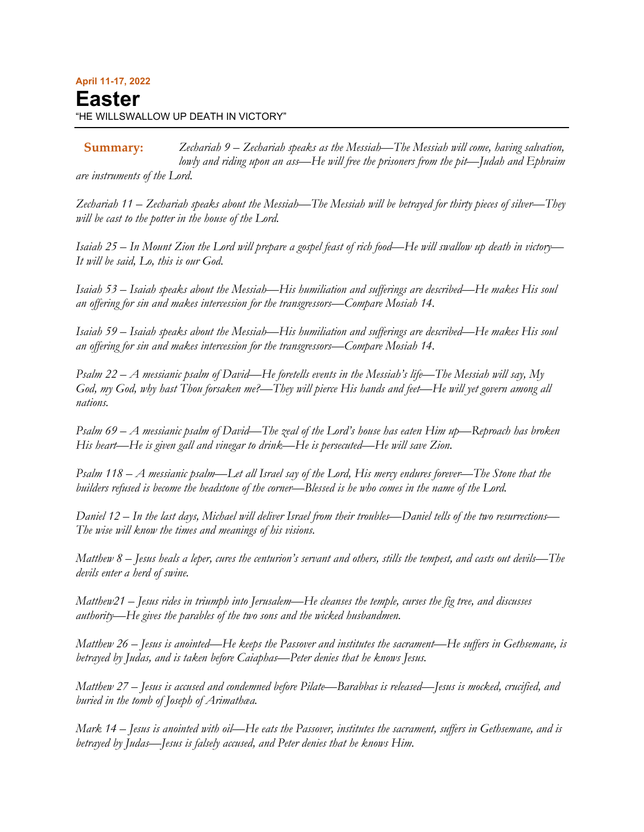*Zechariah 9 – Zechariah speaks as the Messiah—The Messiah will come, having salvation, lowly and riding upon an ass—He will free the prisoners from the pit—Judah and Ephraim are instruments of the Lord.* **Summary:**

*Zechariah 11 – Zechariah speaks about the Messiah—The Messiah will be betrayed for thirty pieces of silver—They will be cast to the potter in the house of the Lord.*

*Isaiah 25 – In Mount Zion the Lord will prepare a gospel feast of rich food—He will swallow up death in victory— It will be said, Lo, this is our God.*

*Isaiah 53 – Isaiah speaks about the Messiah—His humiliation and sufferings are described—He makes His soul an offering for sin and makes intercession for the transgressors—Compare Mosiah 14.*

*Isaiah 59 – Isaiah speaks about the Messiah—His humiliation and sufferings are described—He makes His soul an offering for sin and makes intercession for the transgressors—Compare Mosiah 14.*

*Psalm 22 – A messianic psalm of David—He foretells events in the Messiah's life—The Messiah will say, My God, my God, why hast Thou forsaken me?—They will pierce His hands and feet—He will yet govern among all nations.*

*Psalm 69 – A messianic psalm of David—The zeal of the Lord's house has eaten Him up—Reproach has broken His heart—He is given gall and vinegar to drink—He is persecuted—He will save Zion.*

*Psalm 118 – A messianic psalm—Let all Israel say of the Lord, His mercy endures forever—The Stone that the builders refused is become the headstone of the corner—Blessed is he who comes in the name of the Lord.*

*Daniel 12 – In the last days, Michael will deliver Israel from their troubles—Daniel tells of the two resurrections— The wise will know the times and meanings of his visions.*

*Matthew 8 – Jesus heals a leper, cures the centurion's servant and others, stills the tempest, and casts out devils—The devils enter a herd of swine.*

*Matthew21 – Jesus rides in triumph into Jerusalem—He cleanses the temple, curses the fig tree, and discusses authority—He gives the parables of the two sons and the wicked husbandmen.*

*Matthew 26 – Jesus is anointed—He keeps the Passover and institutes the sacrament—He suffers in Gethsemane, is betrayed by Judas, and is taken before Caiaphas—Peter denies that he knows Jesus.*

*Matthew 27 – Jesus is accused and condemned before Pilate—Barabbas is released—Jesus is mocked, crucified, and buried in the tomb of Joseph of Arimathæa.*

*Mark 14 – Jesus is anointed with oil—He eats the Passover, institutes the sacrament, suffers in Gethsemane, and is betrayed by Judas—Jesus is falsely accused, and Peter denies that he knows Him.*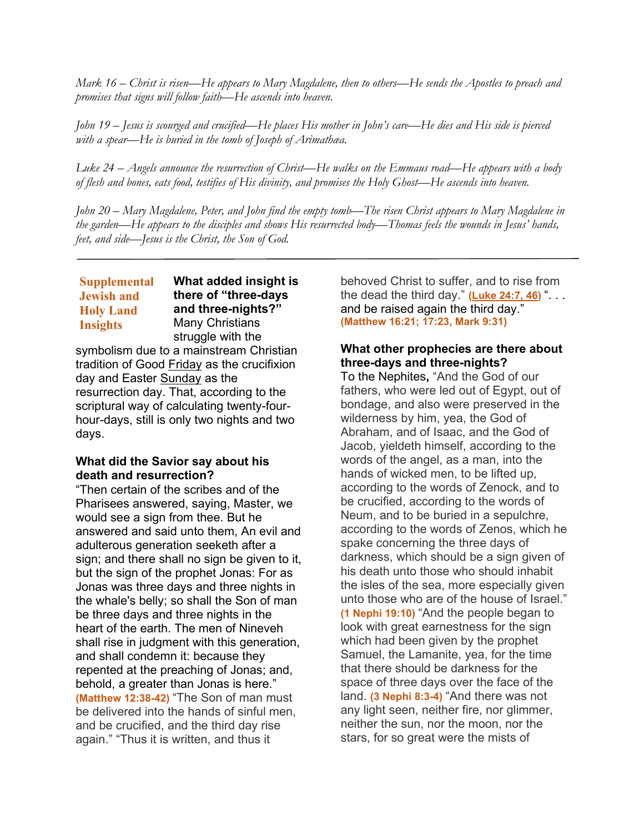*Mark 16 – Christ is risen—He appears to Mary Magdalene, then to others—He sends the Apostles to preach and promises that signs will follow faith—He ascends into heaven.*

*John 19 – Jesus is scourged and crucified—He places His mother in John's care—He dies and His side is pierced with a spear—He is buried in the tomb of Joseph of Arimathæa.*

*Luke 24 – Angels announce the resurrection of Christ—He walks on the Emmaus road—He appears with a body of flesh and bones, eats food, testifies of His divinity, and promises the Holy Ghost—He ascends into heaven.*

*John 20 – Mary Magdalene, Peter, and John find the empty tomb—The risen Christ appears to Mary Magdalene in the garden—He appears to the disciples and shows His resurrected body—Thomas feels the wounds in Jesus' hands, feet, and side—Jesus is the Christ, the Son of God.*

#### **What added insight is there of "three-days and three-nights?"** Many Christians struggle with the **Supplemental Jewish and Holy Land Insights**

symbolism due to a mainstream Christian tradition of Good Friday as the crucifixion day and Easter Sunday as the resurrection day. That, according to the scriptural way of calculating twenty-fourhour-days, still is only two nights and two days.

## **What did the Savior say about his death and resurrection?**

"Then certain of the scribes and of the Pharisees answered, saying, Master, we would see a sign from thee. But he answered and said unto them, An evil and adulterous generation seeketh after a sign; and there shall no sign be given to it, but the sign of the prophet Jonas: For as Jonas was three days and three nights in the whale's belly; so shall the Son of man be three days and three nights in the heart of the earth. The men of Nineveh shall rise in judgment with this generation, and shall condemn it: because they repented at the preaching of Jonas; and, behold, a greater than Jonas is here." **(Matthew 12:38-42)** "The Son of man must be delivered into the hands of sinful men, and be crucified, and the third day rise again." "Thus it is written, and thus it

behoved Christ to suffer, and to rise from the dead the third day." **[\(Luke](https://www.lds.org/scriptures/nt/luke/24.7,21,46?lang=eng&clang=eng#p6) 24:7, 46)** ". . . and be raised again the third day." **(Matthew 16:21; 17:23, Mark 9:31)**

#### **What other prophecies are there about three-days and three-nights?**

To the Nephites**,** "And the God of our fathers, who were led out of Egypt, out of bondage, and also were preserved in the wilderness by him, yea, the God of Abraham, and of Isaac, and the God of Jacob, yieldeth himself, according to the words of the angel, as a man, into the hands of wicked men, to be lifted up, according to the words of Zenock, and to be crucified, according to the words of Neum, and to be buried in a sepulchre, according to the words of Zenos, which he spake concerning the three days of darkness, which should be a sign given of his death unto those who should inhabit the isles of the sea, more especially given unto those who are of the house of Israel." **(1 Nephi 19:10)** "And the people began to look with great earnestness for the sign which had been given by the prophet Samuel, the Lamanite, yea, for the time that there should be darkness for the space of three days over the face of the land. **(3 Nephi 8:3-4)** "And there was not any light seen, neither fire, nor glimmer, neither the sun, nor the moon, nor the stars, for so great were the mists of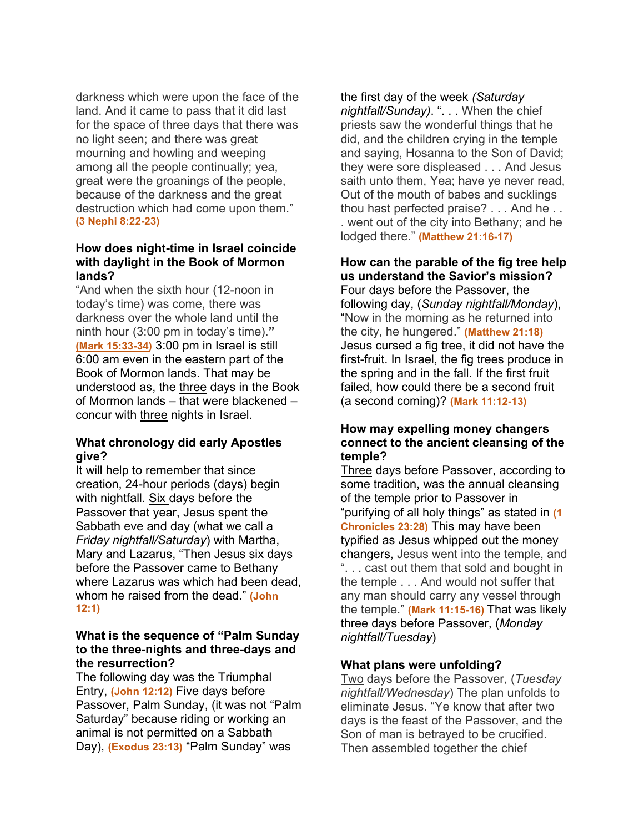darkness which were upon the face of the land. And it came to pass that it did last for the space of three days that there was no light seen; and there was great mourning and howling and weeping among all the people continually; yea, great were the groanings of the people, because of the darkness and the great destruction which had come upon them." **(3 Nephi 8:22-23)**

## **How does night-time in Israel coincide with daylight in the Book of Mormon lands?**

"And when the sixth hour (12-noon in today's time) was come, there was darkness over the whole land until the ninth hour (3:00 pm in today's time).**" (Mark [15:33-34\)](https://www.lds.org/scriptures/nt/mark/15.33-34?lang=eng&clang=eng#p32)** 3:00 pm in Israel is still 6:00 am even in the eastern part of the Book of Mormon lands. That may be understood as, the three days in the Book of Mormon lands – that were blackened – concur with three nights in Israel.

# **What chronology did early Apostles give?**

It will help to remember that since creation, 24-hour periods (days) begin with nightfall. Six days before the Passover that year, Jesus spent the Sabbath eve and day (what we call a *Friday nightfall/Saturday*) with Martha, Mary and Lazarus, "Then Jesus six days before the Passover came to Bethany where Lazarus was which had been dead, whom he raised from the dead." **(John 12:1)**

# **What is the sequence of "Palm Sunday to the three-nights and three-days and the resurrection?**

The following day was the Triumphal Entry, **(John 12:12)** Five days before Passover, Palm Sunday, (it was not "Palm Saturday" because riding or working an animal is not permitted on a Sabbath Day), **(Exodus 23:13)** "Palm Sunday" was

the first day of the week *(Saturday nightfall/Sunday)*. ". . . When the chief priests saw the wonderful things that he did, and the children crying in the temple and saying, Hosanna to the Son of David; they were sore displeased . . . And Jesus saith unto them, Yea; have ye never read, Out of the mouth of babes and sucklings thou hast perfected praise? . . . And he . . . went out of the city into Bethany; and he lodged there." **(Matthew 21:16-17)**

# **How can the parable of the fig tree help us understand the Savior's mission?**

Four days before the Passover, the following day, (*Sunday nightfall/Monday*), "Now in the morning as he returned into the city, he hungered." **(Matthew 21:18)** Jesus cursed a fig tree, it did not have the first-fruit. In Israel, the fig trees produce in the spring and in the fall. If the first fruit failed, how could there be a second fruit (a second coming)? **(Mark 11:12-13)**

# **How may expelling money changers connect to the ancient cleansing of the temple?**

Three days before Passover, according to some tradition, was the annual cleansing of the temple prior to Passover in "purifying of all holy things" as stated in **(1 Chronicles 23:28)** This may have been typified as Jesus whipped out the money changers, Jesus went into the temple, and ". . . cast out them that sold and bought in the temple . . . And would not suffer that any man should carry any vessel through the temple." **(Mark 11:15-16)** That was likely three days before Passover, (*Monday nightfall/Tuesday*)

# **What plans were unfolding?**

Two days before the Passover, (*Tuesday nightfall/Wednesday*) The plan unfolds to eliminate Jesus. "Ye know that after two days is the feast of the Passover, and the Son of man is betrayed to be crucified. Then assembled together the chief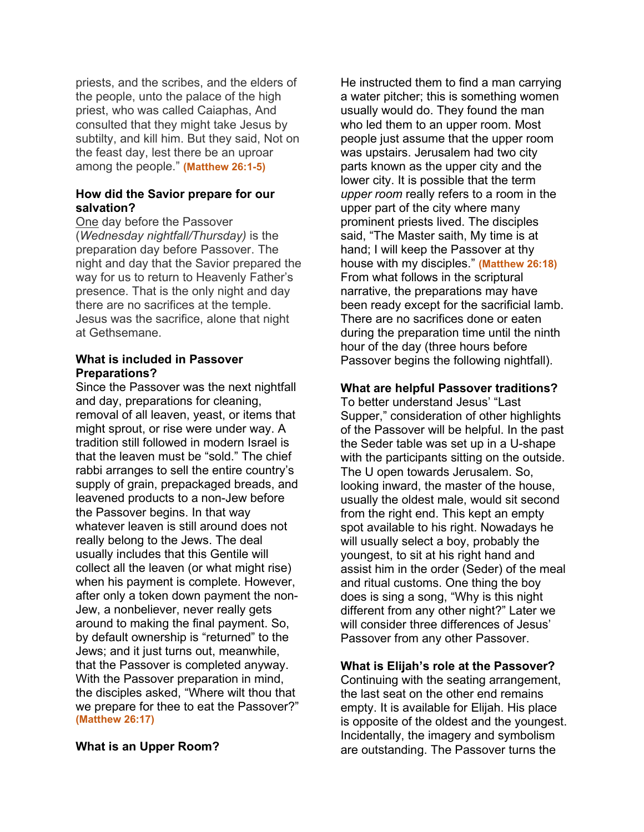priests, and the scribes, and the elders of the people, unto the palace of the high priest, who was called Caiaphas, And consulted that they might take Jesus by subtilty, and kill him. But they said, Not on the feast day, lest there be an uproar among the people." **(Matthew 26:1-5)**

#### **How did the Savior prepare for our salvation?**

One day before the Passover (*Wednesday nightfall/Thursday)* is the preparation day before Passover. The night and day that the Savior prepared the way for us to return to Heavenly Father's presence. That is the only night and day there are no sacrifices at the temple. Jesus was the sacrifice, alone that night at Gethsemane.

# **What is included in Passover Preparations?**

Since the Passover was the next nightfall and day, preparations for cleaning, removal of all leaven, yeast, or items that might sprout, or rise were under way. A tradition still followed in modern Israel is that the leaven must be "sold." The chief rabbi arranges to sell the entire country's supply of grain, prepackaged breads, and leavened products to a non-Jew before the Passover begins. In that way whatever leaven is still around does not really belong to the Jews. The deal usually includes that this Gentile will collect all the leaven (or what might rise) when his payment is complete. However, after only a token down payment the non-Jew, a nonbeliever, never really gets around to making the final payment. So, by default ownership is "returned" to the Jews; and it just turns out, meanwhile, that the Passover is completed anyway. With the Passover preparation in mind, the disciples asked, "Where wilt thou that we prepare for thee to eat the Passover?" **(Matthew 26:17)**

## **What is an Upper Room?**

He instructed them to find a man carrying a water pitcher; this is something women usually would do. They found the man who led them to an upper room. Most people just assume that the upper room was upstairs. Jerusalem had two city parts known as the upper city and the lower city. It is possible that the term *upper room* really refers to a room in the upper part of the city where many prominent priests lived. The disciples said, "The Master saith, My time is at hand; I will keep the Passover at thy house with my disciples." **(Matthew 26:18)** From what follows in the scriptural narrative, the preparations may have been ready except for the sacrificial lamb. There are no sacrifices done or eaten during the preparation time until the ninth hour of the day (three hours before Passover begins the following nightfall).

#### **What are helpful Passover traditions?**

To better understand Jesus' "Last Supper," consideration of other highlights of the Passover will be helpful. In the past the Seder table was set up in a U-shape with the participants sitting on the outside. The U open towards Jerusalem. So, looking inward, the master of the house, usually the oldest male, would sit second from the right end. This kept an empty spot available to his right. Nowadays he will usually select a boy, probably the youngest, to sit at his right hand and assist him in the order (Seder) of the meal and ritual customs. One thing the boy does is sing a song, "Why is this night different from any other night?" Later we will consider three differences of Jesus' Passover from any other Passover.

## **What is Elijah's role at the Passover?**

Continuing with the seating arrangement, the last seat on the other end remains empty. It is available for Elijah. His place is opposite of the oldest and the youngest. Incidentally, the imagery and symbolism are outstanding. The Passover turns the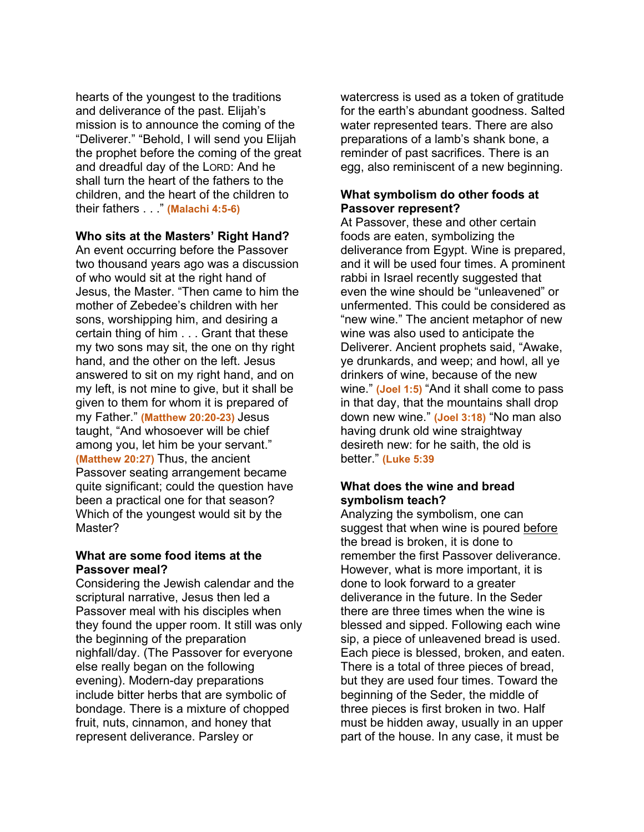hearts of the youngest to the traditions and deliverance of the past. Elijah's mission is to announce the coming of the "Deliverer." "Behold, I will send you Elijah the prophet before the coming of the great and dreadful day of the LORD: And he shall turn the heart of the fathers to the children, and the heart of the children to their fathers . . ." **(Malachi 4:5-6)**

#### **Who sits at the Masters' Right Hand?**

An event occurring before the Passover two thousand years ago was a discussion of who would sit at the right hand of Jesus, the Master. "Then came to him the mother of Zebedee's children with her sons, worshipping him, and desiring a certain thing of him . . . Grant that these my two sons may sit, the one on thy right hand, and the other on the left. Jesus answered to sit on my right hand, and on my left, is not mine to give, but it shall be given to them for whom it is prepared of my Father." **(Matthew 20:20-23)** Jesus taught, "And whosoever will be chief among you, let him be your servant." **(Matthew 20:27)** Thus, the ancient Passover seating arrangement became quite significant; could the question have been a practical one for that season? Which of the youngest would sit by the Master?

#### **What are some food items at the Passover meal?**

Considering the Jewish calendar and the scriptural narrative, Jesus then led a Passover meal with his disciples when they found the upper room. It still was only the beginning of the preparation nighfall/day. (The Passover for everyone else really began on the following evening). Modern-day preparations include bitter herbs that are symbolic of bondage. There is a mixture of chopped fruit, nuts, cinnamon, and honey that represent deliverance. Parsley or

watercress is used as a token of gratitude for the earth's abundant goodness. Salted water represented tears. There are also preparations of a lamb's shank bone, a reminder of past sacrifices. There is an egg, also reminiscent of a new beginning.

## **What symbolism do other foods at Passover represent?**

At Passover, these and other certain foods are eaten, symbolizing the deliverance from Egypt. Wine is prepared, and it will be used four times. A prominent rabbi in Israel recently suggested that even the wine should be "unleavened" or unfermented. This could be considered as "new wine." The ancient metaphor of new wine was also used to anticipate the Deliverer. Ancient prophets said, "Awake, ye drunkards, and weep; and howl, all ye drinkers of wine, because of the new wine." **(Joel 1:5)** "And it shall come to pass in that day, that the mountains shall drop down new wine." **(Joel 3:18)** "No man also having drunk old wine straightway desireth new: for he saith, the old is better." **(Luke 5:39**

## **What does the wine and bread symbolism teach?**

Analyzing the symbolism, one can suggest that when wine is poured before the bread is broken, it is done to remember the first Passover deliverance. However, what is more important, it is done to look forward to a greater deliverance in the future. In the Seder there are three times when the wine is blessed and sipped. Following each wine sip, a piece of unleavened bread is used. Each piece is blessed, broken, and eaten. There is a total of three pieces of bread, but they are used four times. Toward the beginning of the Seder, the middle of three pieces is first broken in two. Half must be hidden away, usually in an upper part of the house. In any case, it must be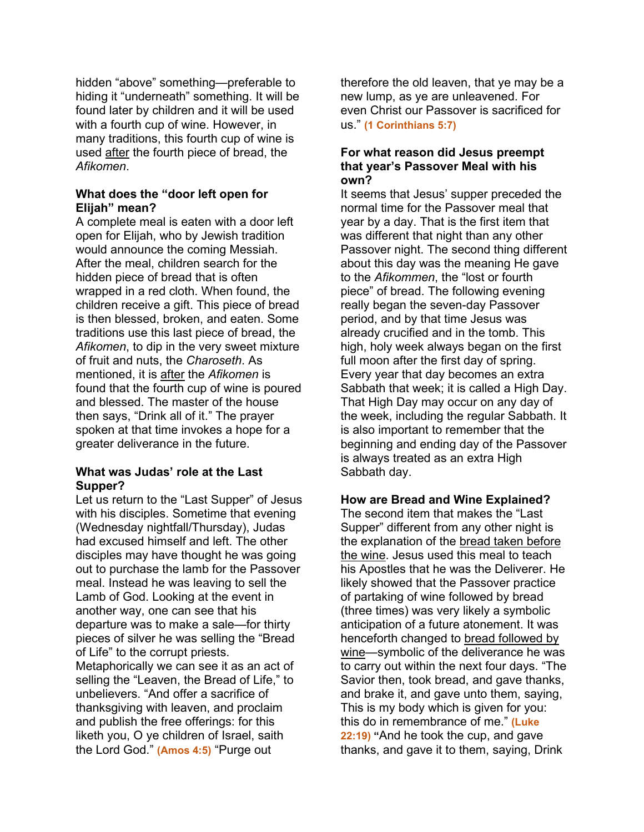hidden "above" something—preferable to hiding it "underneath" something. It will be found later by children and it will be used with a fourth cup of wine. However, in many traditions, this fourth cup of wine is used after the fourth piece of bread, the *Afikomen*.

# **What does the "door left open for Elijah" mean?**

A complete meal is eaten with a door left open for Elijah, who by Jewish tradition would announce the coming Messiah. After the meal, children search for the hidden piece of bread that is often wrapped in a red cloth. When found, the children receive a gift. This piece of bread is then blessed, broken, and eaten. Some traditions use this last piece of bread, the *Afikomen*, to dip in the very sweet mixture of fruit and nuts, the *Charoseth*. As mentioned, it is after the *Afikomen* is found that the fourth cup of wine is poured and blessed. The master of the house then says, "Drink all of it." The prayer spoken at that time invokes a hope for a greater deliverance in the future.

# **What was Judas' role at the Last Supper?**

Let us return to the "Last Supper" of Jesus with his disciples. Sometime that evening (Wednesday nightfall/Thursday), Judas had excused himself and left. The other disciples may have thought he was going out to purchase the lamb for the Passover meal. Instead he was leaving to sell the Lamb of God. Looking at the event in another way, one can see that his departure was to make a sale—for thirty pieces of silver he was selling the "Bread of Life" to the corrupt priests. Metaphorically we can see it as an act of selling the "Leaven, the Bread of Life," to unbelievers. "And offer a sacrifice of thanksgiving with leaven, and proclaim and publish the free offerings: for this liketh you, O ye children of Israel, saith the Lord God." **(Amos 4:5)** "Purge out

therefore the old leaven, that ye may be a new lump, as ye are unleavened. For even Christ our Passover is sacrificed for us." **(1 Corinthians 5:7)**

#### **For what reason did Jesus preempt that year's Passover Meal with his own?**

It seems that Jesus' supper preceded the normal time for the Passover meal that year by a day. That is the first item that was different that night than any other Passover night. The second thing different about this day was the meaning He gave to the *Afikommen*, the "lost or fourth piece" of bread. The following evening really began the seven-day Passover period, and by that time Jesus was already crucified and in the tomb. This high, holy week always began on the first full moon after the first day of spring. Every year that day becomes an extra Sabbath that week; it is called a High Day. That High Day may occur on any day of the week, including the regular Sabbath. It is also important to remember that the beginning and ending day of the Passover is always treated as an extra High Sabbath day.

# **How are Bread and Wine Explained?**

The second item that makes the "Last Supper" different from any other night is the explanation of the bread taken before the wine. Jesus used this meal to teach his Apostles that he was the Deliverer. He likely showed that the Passover practice of partaking of wine followed by bread (three times) was very likely a symbolic anticipation of a future atonement. It was henceforth changed to bread followed by wine—symbolic of the deliverance he was to carry out within the next four days. "The Savior then, took bread, and gave thanks, and brake it, and gave unto them, saying, This is my body which is given for you: this do in remembrance of me." **(Luke 22:19) "**And he took the cup, and gave thanks, and gave it to them, saying, Drink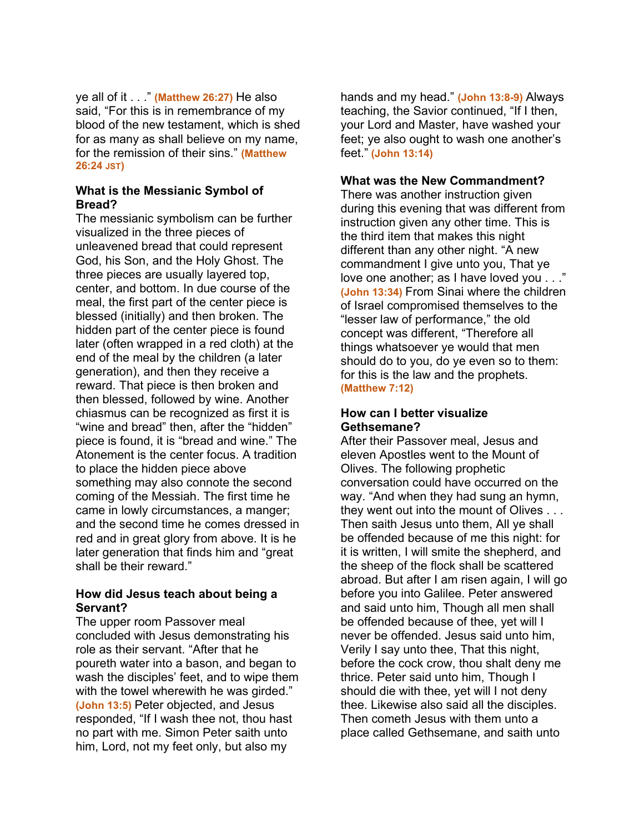ye all of it . . ." **(Matthew 26:27)** He also said, "For this is in remembrance of my blood of the new testament, which is shed for as many as shall believe on my name, for the remission of their sins." **(Matthew 26:24 JST)**

#### **What is the Messianic Symbol of Bread?**

The messianic symbolism can be further visualized in the three pieces of unleavened bread that could represent God, his Son, and the Holy Ghost. The three pieces are usually layered top, center, and bottom. In due course of the meal, the first part of the center piece is blessed (initially) and then broken. The hidden part of the center piece is found later (often wrapped in a red cloth) at the end of the meal by the children (a later generation), and then they receive a reward. That piece is then broken and then blessed, followed by wine. Another chiasmus can be recognized as first it is "wine and bread" then, after the "hidden" piece is found, it is "bread and wine." The Atonement is the center focus. A tradition to place the hidden piece above something may also connote the second coming of the Messiah. The first time he came in lowly circumstances, a manger; and the second time he comes dressed in red and in great glory from above. It is he later generation that finds him and "great shall be their reward."

## **How did Jesus teach about being a Servant?**

The upper room Passover meal concluded with Jesus demonstrating his role as their servant. "After that he poureth water into a bason, and began to wash the disciples' feet, and to wipe them with the towel wherewith he was girded." **(John 13:5)** Peter objected, and Jesus responded, "If I wash thee not, thou hast no part with me. Simon Peter saith unto him, Lord, not my feet only, but also my

hands and my head." **(John 13:8-9)** Always teaching, the Savior continued, "If I then, your Lord and Master, have washed your feet; ye also ought to wash one another's feet." **(John 13:14)**

#### **What was the New Commandment?**

There was another instruction given during this evening that was different from instruction given any other time. This is the third item that makes this night different than any other night. "A new commandment I give unto you, That ye love one another; as I have loved you . . ." **(John 13:34)** From Sinai where the children of Israel compromised themselves to the "lesser law of performance," the old concept was different, "Therefore all things whatsoever ye would that men should do to you, do ye even so to them: for this is the law and the prophets. **(Matthew 7:12)**

## **How can I better visualize Gethsemane?**

After their Passover meal, Jesus and eleven Apostles went to the Mount of Olives. The following prophetic conversation could have occurred on the way. "And when they had sung an hymn, they went out into the mount of Olives . . . Then saith Jesus unto them, All ye shall be offended because of me this night: for it is written, I will smite the shepherd, and the sheep of the flock shall be scattered abroad. But after I am risen again, I will go before you into Galilee. Peter answered and said unto him, Though all men shall be offended because of thee, yet will I never be offended. Jesus said unto him, Verily I say unto thee, That this night, before the cock crow, thou shalt deny me thrice. Peter said unto him, Though I should die with thee, yet will I not deny thee. Likewise also said all the disciples. Then cometh Jesus with them unto a place called Gethsemane, and saith unto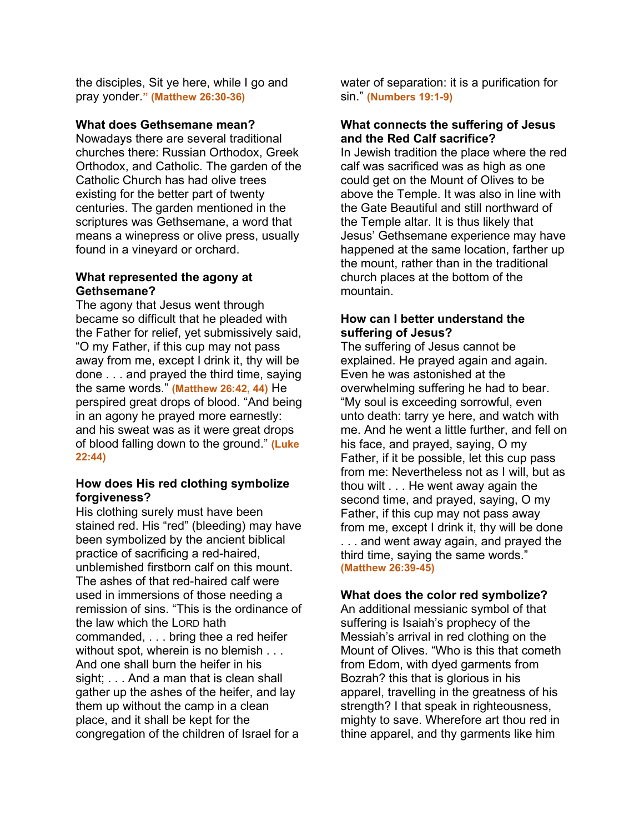the disciples, Sit ye here, while I go and pray yonder.**" (Matthew 26:30-36)**

#### **What does Gethsemane mean?**

Nowadays there are several traditional churches there: Russian Orthodox, Greek Orthodox, and Catholic. The garden of the Catholic Church has had olive trees existing for the better part of twenty centuries. The garden mentioned in the scriptures was Gethsemane, a word that means a winepress or olive press, usually found in a vineyard or orchard.

## **What represented the agony at Gethsemane?**

The agony that Jesus went through became so difficult that he pleaded with the Father for relief, yet submissively said, "O my Father, if this cup may not pass away from me, except I drink it, thy will be done . . . and prayed the third time, saying the same words." **(Matthew 26:42, 44)** He perspired great drops of blood. "And being in an agony he prayed more earnestly: and his sweat was as it were great drops of blood falling down to the ground." **(Luke 22:44)**

## **How does His red clothing symbolize forgiveness?**

His clothing surely must have been stained red. His "red" (bleeding) may have been symbolized by the ancient biblical practice of sacrificing a red-haired, unblemished firstborn calf on this mount. The ashes of that red-haired calf were used in immersions of those needing a remission of sins. "This is the ordinance of the law which the LORD hath commanded, . . . bring thee a red heifer without spot, wherein is no blemish . . . And one shall burn the heifer in his sight; . . . And a man that is clean shall gather up the ashes of the heifer, and lay them up without the camp in a clean place, and it shall be kept for the congregation of the children of Israel for a

water of separation: it is a purification for sin." **(Numbers 19:1-9)**

# **What connects the suffering of Jesus and the Red Calf sacrifice?**

In Jewish tradition the place where the red calf was sacrificed was as high as one could get on the Mount of Olives to be above the Temple. It was also in line with the Gate Beautiful and still northward of the Temple altar. It is thus likely that Jesus' Gethsemane experience may have happened at the same location, farther up the mount, rather than in the traditional church places at the bottom of the mountain.

# **How can I better understand the suffering of Jesus?**

The suffering of Jesus cannot be explained. He prayed again and again. Even he was astonished at the overwhelming suffering he had to bear. "My soul is exceeding sorrowful, even unto death: tarry ye here, and watch with me. And he went a little further, and fell on his face, and prayed, saying, O my Father, if it be possible, let this cup pass from me: Nevertheless not as I will, but as thou wilt . . . He went away again the second time, and prayed, saying, O my Father, if this cup may not pass away from me, except I drink it, thy will be done . . . and went away again, and prayed the third time, saying the same words." **(Matthew 26:39-45)**

## **What does the color red symbolize?**

An additional messianic symbol of that suffering is Isaiah's prophecy of the Messiah's arrival in red clothing on the Mount of Olives. "Who is this that cometh from Edom, with dyed garments from Bozrah? this that is glorious in his apparel, travelling in the greatness of his strength? I that speak in righteousness, mighty to save. Wherefore art thou red in thine apparel, and thy garments like him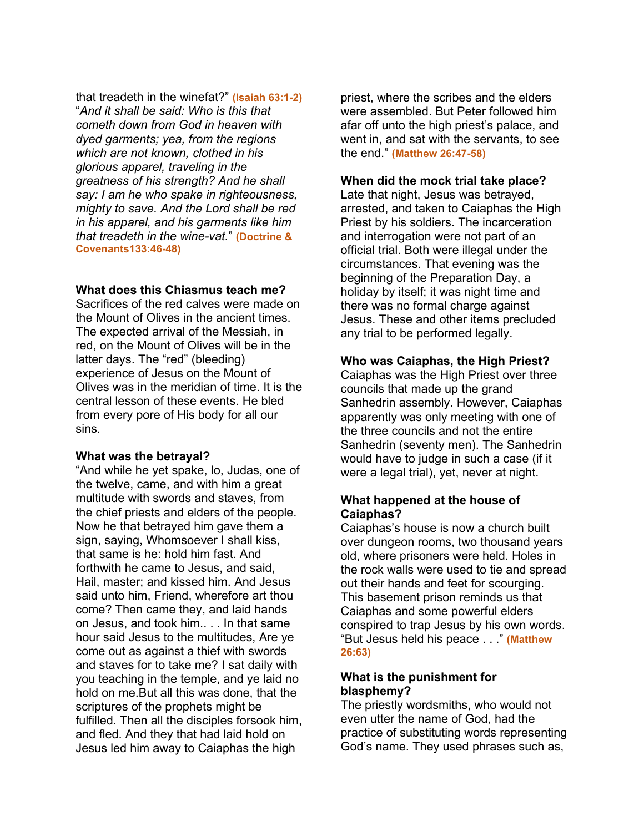that treadeth in the winefat?" **(Isaiah 63:1-2)** "*And it shall be said: Who is this that cometh down from God in heaven with dyed garments; yea, from the regions which are not known, clothed in his glorious apparel, traveling in the greatness of his strength? And he shall say: I am he who spake in righteousness, mighty to save. And the Lord shall be red in his apparel, and his garments like him that treadeth in the wine-vat.*" **(Doctrine & Covenants133:46-48)**

#### **What does this Chiasmus teach me?**

Sacrifices of the red calves were made on the Mount of Olives in the ancient times. The expected arrival of the Messiah, in red, on the Mount of Olives will be in the latter days. The "red" (bleeding) experience of Jesus on the Mount of Olives was in the meridian of time. It is the central lesson of these events. He bled from every pore of His body for all our sins.

#### **What was the betrayal?**

"And while he yet spake, lo, Judas, one of the twelve, came, and with him a great multitude with swords and staves, from the chief priests and elders of the people. Now he that betrayed him gave them a sign, saying, Whomsoever I shall kiss, that same is he: hold him fast. And forthwith he came to Jesus, and said, Hail, master; and kissed him. And Jesus said unto him, Friend, wherefore art thou come? Then came they, and laid hands on Jesus, and took him.. . . In that same hour said Jesus to the multitudes, Are ye come out as against a thief with swords and staves for to take me? I sat daily with you teaching in the temple, and ye laid no hold on me.But all this was done, that the scriptures of the prophets might be fulfilled. Then all the disciples forsook him, and fled. And they that had laid hold on Jesus led him away to Caiaphas the high

priest, where the scribes and the elders were assembled. But Peter followed him afar off unto the high priest's palace, and went in, and sat with the servants, to see the end." **(Matthew 26:47-58)**

#### **When did the mock trial take place?**

Late that night, Jesus was betrayed, arrested, and taken to Caiaphas the High Priest by his soldiers. The incarceration and interrogation were not part of an official trial. Both were illegal under the circumstances. That evening was the beginning of the Preparation Day, a holiday by itself; it was night time and there was no formal charge against Jesus. These and other items precluded any trial to be performed legally.

# **Who was Caiaphas, the High Priest?**

Caiaphas was the High Priest over three councils that made up the grand Sanhedrin assembly. However, Caiaphas apparently was only meeting with one of the three councils and not the entire Sanhedrin (seventy men). The Sanhedrin would have to judge in such a case (if it were a legal trial), yet, never at night.

# **What happened at the house of Caiaphas?**

Caiaphas's house is now a church built over dungeon rooms, two thousand years old, where prisoners were held. Holes in the rock walls were used to tie and spread out their hands and feet for scourging. This basement prison reminds us that Caiaphas and some powerful elders conspired to trap Jesus by his own words. "But Jesus held his peace . . ." **(Matthew 26:63)**

## **What is the punishment for blasphemy?**

The priestly wordsmiths, who would not even utter the name of God, had the practice of substituting words representing God's name. They used phrases such as,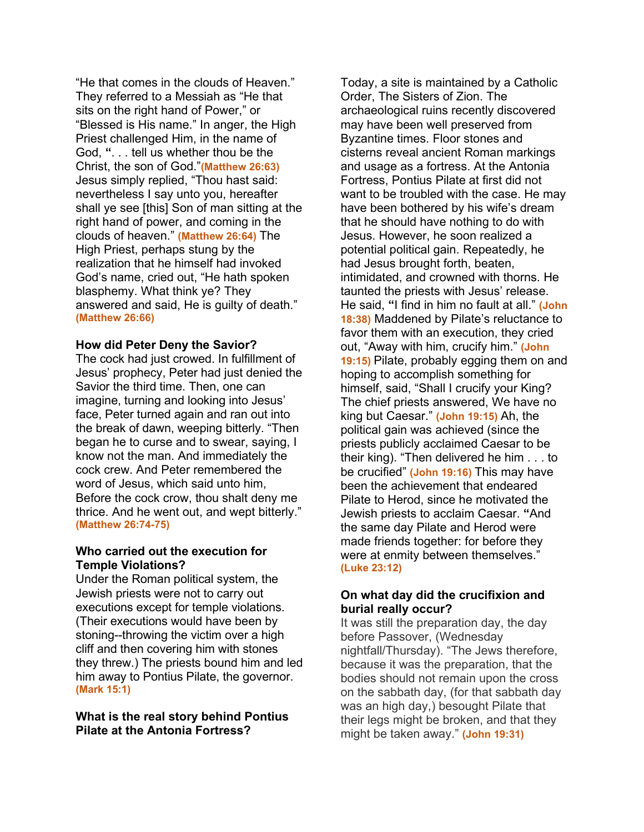"He that comes in the clouds of Heaven." They referred to a Messiah as "He that sits on the right hand of Power," or "Blessed is His name." In anger, the High Priest challenged Him, in the name of God, **"**. . . tell us whether thou be the Christ, the son of God."**(Matthew 26:63)** Jesus simply replied, "Thou hast said: nevertheless I say unto you, hereafter shall ye see [this] Son of man sitting at the right hand of power, and coming in the clouds of heaven." **(Matthew 26:64)** The High Priest, perhaps stung by the realization that he himself had invoked God's name, cried out, "He hath spoken blasphemy. What think ye? They answered and said, He is guilty of death." **(Matthew 26:66)**

#### **How did Peter Deny the Savior?**

The cock had just crowed. In fulfillment of Jesus' prophecy, Peter had just denied the Savior the third time. Then, one can imagine, turning and looking into Jesus' face, Peter turned again and ran out into the break of dawn, weeping bitterly. "Then began he to curse and to swear, saying, I know not the man. And immediately the cock crew. And Peter remembered the word of Jesus, which said unto him, Before the cock crow, thou shalt deny me thrice. And he went out, and wept bitterly." **(Matthew 26:74-75)**

#### **Who carried out the execution for Temple Violations?**

Under the Roman political system, the Jewish priests were not to carry out executions except for temple violations. (Their executions would have been by stoning--throwing the victim over a high cliff and then covering him with stones they threw.) The priests bound him and led him away to Pontius Pilate, the governor. **(Mark 15:1)**

**What is the real story behind Pontius Pilate at the Antonia Fortress?**

Today, a site is maintained by a Catholic Order, The Sisters of Zion. The archaeological ruins recently discovered may have been well preserved from Byzantine times. Floor stones and cisterns reveal ancient Roman markings and usage as a fortress. At the Antonia Fortress, Pontius Pilate at first did not want to be troubled with the case. He may have been bothered by his wife's dream that he should have nothing to do with Jesus. However, he soon realized a potential political gain. Repeatedly, he had Jesus brought forth, beaten, intimidated, and crowned with thorns. He taunted the priests with Jesus' release. He said, **"**I find in him no fault at all." **(John 18:38)** Maddened by Pilate's reluctance to favor them with an execution, they cried out, "Away with him, crucify him." **(John 19:15)** Pilate, probably egging them on and hoping to accomplish something for himself, said, "Shall I crucify your King? The chief priests answered, We have no king but Caesar." **(John 19:15)** Ah, the political gain was achieved (since the priests publicly acclaimed Caesar to be their king). "Then delivered he him . . . to be crucified" **(John 19:16)** This may have been the achievement that endeared Pilate to Herod, since he motivated the Jewish priests to acclaim Caesar. **"**And the same day Pilate and Herod were made friends together: for before they were at enmity between themselves." **(Luke 23:12)**

# **On what day did the crucifixion and burial really occur?**

It was still the preparation day, the day before Passover, (Wednesday nightfall/Thursday). "The Jews therefore, because it was the preparation, that the bodies should not remain upon the cross on the sabbath day, (for that sabbath day was an high day,) besought Pilate that their legs might be broken, and that they might be taken away." **(John 19:31)**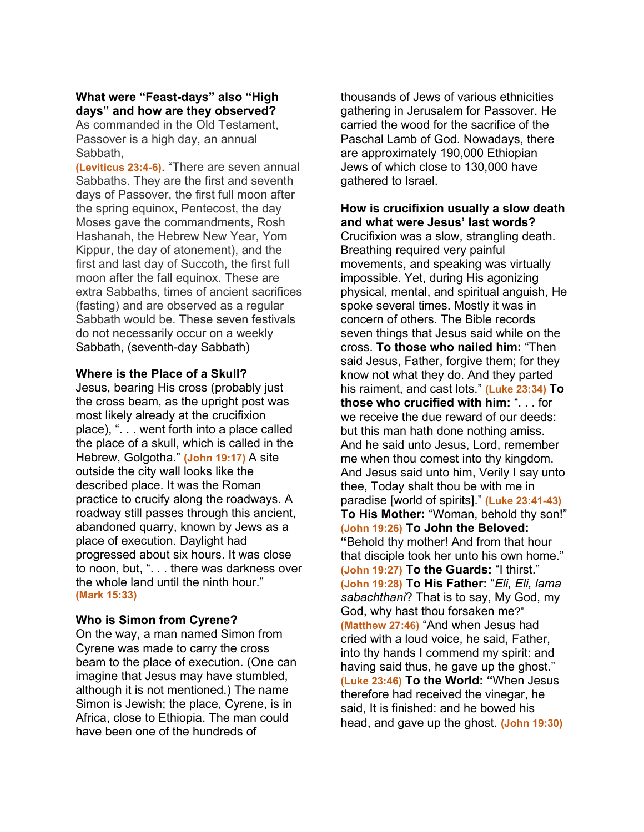# **What were "Feast-days" also "High days" and how are they observed?**

As commanded in the Old Testament, Passover is a high day, an annual Sabbath,

**(Leviticus 23:4-6)**. "There are seven annual Sabbaths. They are the first and seventh days of Passover, the first full moon after the spring equinox, Pentecost, the day Moses gave the commandments, Rosh Hashanah, the Hebrew New Year, Yom Kippur, the day of atonement), and the first and last day of Succoth, the first full moon after the fall equinox. These are extra Sabbaths, times of ancient sacrifices (fasting) and are observed as a regular Sabbath would be. These seven festivals do not necessarily occur on a weekly Sabbath, (seventh-day Sabbath)

#### **Where is the Place of a Skull?**

Jesus, bearing His cross (probably just the cross beam, as the upright post was most likely already at the crucifixion place), ". . . went forth into a place called the place of a skull, which is called in the Hebrew, Golgotha." **(John 19:17)** A site outside the city wall looks like the described place. It was the Roman practice to crucify along the roadways. A roadway still passes through this ancient, abandoned quarry, known by Jews as a place of execution. Daylight had progressed about six hours. It was close to noon, but, ". . . there was darkness over the whole land until the ninth hour." **(Mark 15:33)**

## **Who is Simon from Cyrene?**

On the way, a man named Simon from Cyrene was made to carry the cross beam to the place of execution. (One can imagine that Jesus may have stumbled, although it is not mentioned.) The name Simon is Jewish; the place, Cyrene, is in Africa, close to Ethiopia. The man could have been one of the hundreds of

thousands of Jews of various ethnicities gathering in Jerusalem for Passover. He carried the wood for the sacrifice of the Paschal Lamb of God. Nowadays, there are approximately 190,000 Ethiopian Jews of which close to 130,000 have gathered to Israel.

**How is crucifixion usually a slow death and what were Jesus' last words?** Crucifixion was a slow, strangling death. Breathing required very painful movements, and speaking was virtually impossible. Yet, during His agonizing physical, mental, and spiritual anguish, He spoke several times. Mostly it was in concern of others. The Bible records seven things that Jesus said while on the cross. **To those who nailed him:** "Then said Jesus, Father, forgive them; for they know not what they do. And they parted his raiment, and cast lots." **(Luke 23:34) To those who crucified with him:** ". . . for we receive the due reward of our deeds: but this man hath done nothing amiss. And he said unto Jesus, Lord, remember me when thou comest into thy kingdom. And Jesus said unto him, Verily I say unto thee, Today shalt thou be with me in paradise [world of spirits]." **(Luke 23:41-43) To His Mother:** "Woman, behold thy son!" **(John 19:26) To John the Beloved: "**Behold thy mother! And from that hour that disciple took her unto his own home." **(John 19:27) To the Guards:** "I thirst." **(John 19:28) To His Father:** "*Eli, Eli, lama sabachthani*? That is to say, My God, my God, why hast thou forsaken me?" **(Matthew 27:46)** "And when Jesus had cried with a loud voice, he said, Father, into thy hands I commend my spirit: and having said thus, he gave up the ghost." **(Luke 23:46) To the World: "**When Jesus therefore had received the vinegar, he said, It is finished: and he bowed his head, and gave up the ghost. **(John 19:30)**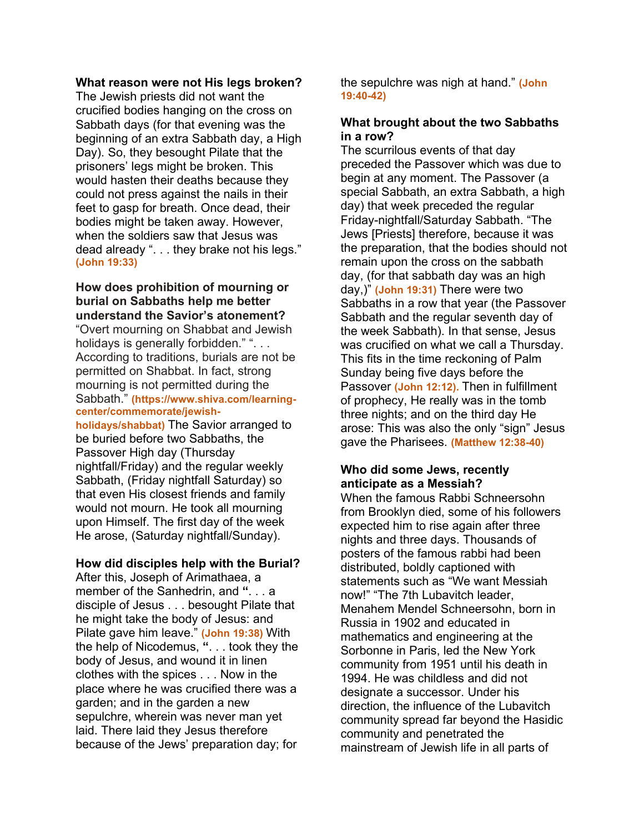#### **What reason were not His legs broken?**

The Jewish priests did not want the crucified bodies hanging on the cross on Sabbath days (for that evening was the beginning of an extra Sabbath day, a High Day). So, they besought Pilate that the prisoners' legs might be broken. This would hasten their deaths because they could not press against the nails in their feet to gasp for breath. Once dead, their bodies might be taken away. However, when the soldiers saw that Jesus was dead already ". . . they brake not his legs." **(John 19:33)**

# **How does prohibition of mourning or burial on Sabbaths help me better understand the Savior's atonement?**

"Overt mourning on Shabbat and Jewish holidays is generally forbidden." ". . . According to traditions, burials are not be permitted on Shabbat. In fact, strong mourning is not permitted during the Sabbath." **(https://www.shiva.com/learningcenter/commemorate/jewish-**

**holidays/shabbat)** The Savior arranged to be buried before two Sabbaths, the Passover High day (Thursday nightfall/Friday) and the regular weekly Sabbath, (Friday nightfall Saturday) so that even His closest friends and family would not mourn. He took all mourning upon Himself. The first day of the week He arose, (Saturday nightfall/Sunday).

## **How did disciples help with the Burial?**

After this, Joseph of Arimathaea, a member of the Sanhedrin, and **"**. . . a disciple of Jesus . . . besought Pilate that he might take the body of Jesus: and Pilate gave him leave." **(John 19:38)** With the help of Nicodemus, **"**. . . took they the body of Jesus, and wound it in linen clothes with the spices . . . Now in the place where he was crucified there was a garden; and in the garden a new sepulchre, wherein was never man yet laid. There laid they Jesus therefore because of the Jews' preparation day; for

the sepulchre was nigh at hand." **(John 19:40-42)**

#### **What brought about the two Sabbaths in a row?**

The scurrilous events of that day preceded the Passover which was due to begin at any moment. The Passover (a special Sabbath, an extra Sabbath, a high day) that week preceded the regular Friday-nightfall/Saturday Sabbath. "The Jews [Priests] therefore, because it was the preparation, that the bodies should not remain upon the cross on the sabbath day, (for that sabbath day was an high day,)" **(John 19:31)** There were two Sabbaths in a row that year (the Passover Sabbath and the regular seventh day of the week Sabbath). In that sense, Jesus was crucified on what we call a Thursday. This fits in the time reckoning of Palm Sunday being five days before the Passover **(John 12:12).** Then in fulfillment of prophecy, He really was in the tomb three nights; and on the third day He arose: This was also the only "sign" Jesus gave the Pharisees. **(Matthew 12:38-40)**

## **Who did some Jews, recently anticipate as a Messiah?**

When the famous Rabbi Schneersohn from Brooklyn died, some of his followers expected him to rise again after three nights and three days. Thousands of posters of the famous rabbi had been distributed, boldly captioned with statements such as "We want Messiah now!" "The 7th Lubavitch leader, Menahem Mendel Schneersohn, born in Russia in 1902 and educated in mathematics and engineering at the Sorbonne in Paris, led the New York community from 1951 until his death in 1994. He was childless and did not designate a successor. Under his direction, the influence of the Lubavitch community spread far beyond the Hasidic community and penetrated the mainstream of Jewish life in all parts of